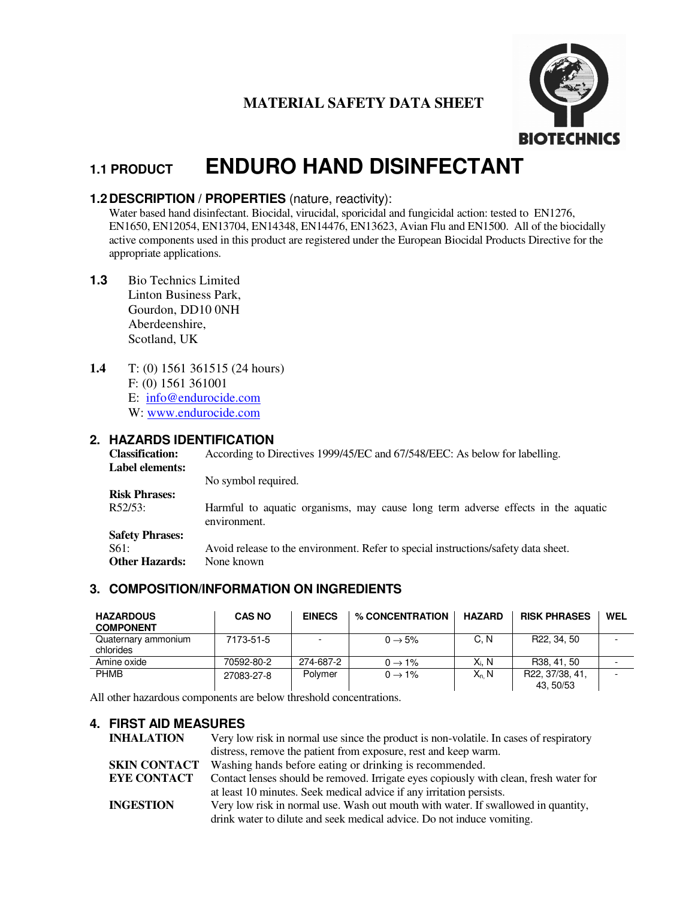## **MATERIAL SAFETY DATA SHEET**



# **1.1 PRODUCT ENDURO HAND DISINFECTANT**

## **1.2 DESCRIPTION / PROPERTIES** (nature, reactivity):

Water based hand disinfectant. Biocidal, virucidal, sporicidal and fungicidal action: tested to EN1276, EN1650, EN12054, EN13704, EN14348, EN14476, EN13623, Avian Flu and EN1500. All of the biocidally active components used in this product are registered under the European Biocidal Products Directive for the appropriate applications.

- **1.3** Bio Technics Limited Linton Business Park, Gourdon, DD10 0NH Aberdeenshire, Scotland, UK
- **1.4** T: (0) 1561 361515 (24 hours) F: (0) 1561 361001 E: info@endurocide.com

W: www.endurocide.com

## **2. HAZARDS IDENTIFICATION**

**Classification:** According to Directives 1999/45/EC and 67/548/EEC: As below for labelling. **Label elements:** No symbol required. **Risk Phrases:**  R52/53: Harmful to aquatic organisms, may cause long term adverse effects in the aquatic environment. **Safety Phrases:**  S61: Avoid release to the environment. Refer to special instructions/safety data sheet. **Other Hazards:** None known

## **3. COMPOSITION/INFORMATION ON INGREDIENTS**

| <b>HAZARDOUS</b><br><b>COMPONENT</b> | <b>CAS NO</b> | <b>EINECS</b>            | % CONCENTRATION     | <b>HAZARD</b> | <b>RISK PHRASES</b>          | WEL |
|--------------------------------------|---------------|--------------------------|---------------------|---------------|------------------------------|-----|
| Quaternary ammonium<br>chlorides     | 7173-51-5     | $\overline{\phantom{0}}$ | $0 \rightarrow 5\%$ | C.N           | R22, 34, 50                  |     |
| Amine oxide                          | 70592-80-2    | 274-687-2                | $0 \rightarrow 1\%$ | Xi. N         | R38, 41, 50                  |     |
| <b>PHMB</b>                          | 27083-27-8    | Polymer                  | $0 \rightarrow 1\%$ | $X_n$ , N     | R22, 37/38, 41,<br>43, 50/53 |     |

All other hazardous components are below threshold concentrations.

## **4. FIRST AID MEASURES**

**INHALATION** Very low risk in normal use since the product is non-volatile. In cases of respiratory distress, remove the patient from exposure, rest and keep warm. **SKIN CONTACT** Washing hands before eating or drinking is recommended. **EYE CONTACT** Contact lenses should be removed. Irrigate eyes copiously with clean, fresh water for at least 10 minutes. Seek medical advice if any irritation persists. **INGESTION** Very low risk in normal use. Wash out mouth with water. If swallowed in quantity, drink water to dilute and seek medical advice. Do not induce vomiting.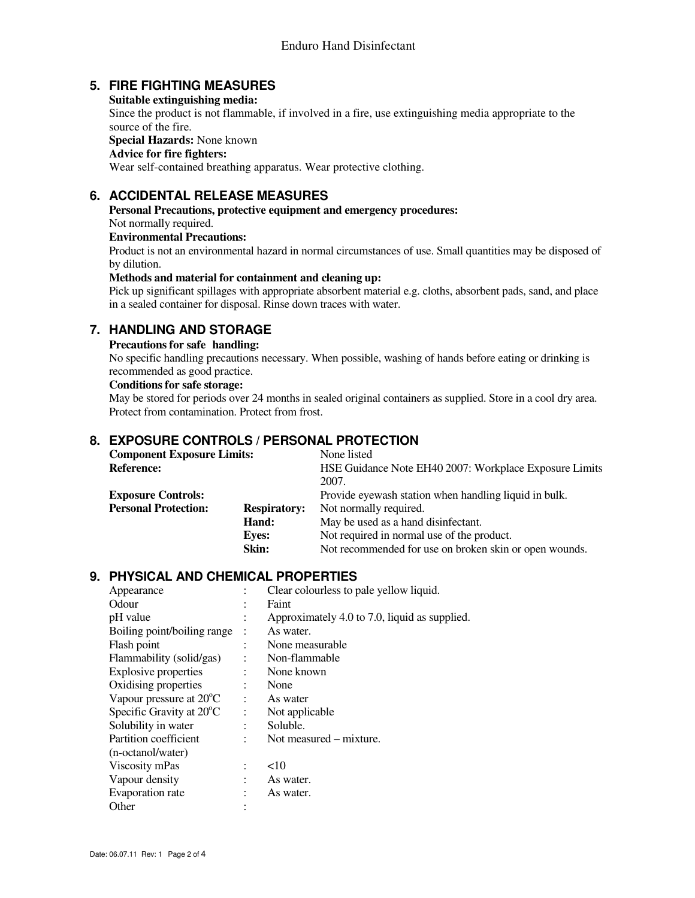## **5. FIRE FIGHTING MEASURES**

**Suitable extinguishing media:** 

Since the product is not flammable, if involved in a fire, use extinguishing media appropriate to the source of the fire.

**Special Hazards:** None known

#### **Advice for fire fighters:**

Wear self-contained breathing apparatus. Wear protective clothing.

## **6. ACCIDENTAL RELEASE MEASURES**

**Personal Precautions, protective equipment and emergency procedures:**  Not normally required.

#### **Environmental Precautions:**

 Product is not an environmental hazard in normal circumstances of use. Small quantities may be disposed of by dilution.

#### **Methods and material for containment and cleaning up:**

Pick up significant spillages with appropriate absorbent material e.g. cloths, absorbent pads, sand, and place in a sealed container for disposal. Rinse down traces with water.

## **7. HANDLING AND STORAGE**

#### **Precautions for safe handling:**

No specific handling precautions necessary. When possible, washing of hands before eating or drinking is recommended as good practice.

#### **Conditions for safe storage:**

May be stored for periods over 24 months in sealed original containers as supplied. Store in a cool dry area. Protect from contamination. Protect from frost.

## **8. EXPOSURE CONTROLS / PERSONAL PROTECTION**

| <b>Component Exposure Limits:</b> |                     | None listed                                            |
|-----------------------------------|---------------------|--------------------------------------------------------|
| <b>Reference:</b>                 |                     | HSE Guidance Note EH40 2007: Workplace Exposure Limits |
|                                   |                     | 2007.                                                  |
| <b>Exposure Controls:</b>         |                     | Provide eyewash station when handling liquid in bulk.  |
| <b>Personal Protection:</b>       | <b>Respiratory:</b> | Not normally required.                                 |
|                                   | Hand:               | May be used as a hand disinfectant.                    |
|                                   | <b>Eves:</b>        | Not required in normal use of the product.             |
|                                   | Skin:               | Not recommended for use on broken skin or open wounds. |

## **9. PHYSICAL AND CHEMICAL PROPERTIES**

| Appearance                         |                | Clear colourless to pale yellow liquid.       |
|------------------------------------|----------------|-----------------------------------------------|
| <b>Odour</b>                       |                | Faint                                         |
| pH value                           |                | Approximately 4.0 to 7.0, liquid as supplied. |
| Boiling point/boiling range        |                | As water.                                     |
| Flash point                        |                | None measurable                               |
| Flammability (solid/gas)           |                | Non-flammable                                 |
| <b>Explosive properties</b>        |                | None known                                    |
| Oxidising properties               | $\ddot{\cdot}$ | None                                          |
| Vapour pressure at $20^{\circ}$ C  |                | As water                                      |
| Specific Gravity at $20^{\circ}$ C | $\ddot{\cdot}$ | Not applicable                                |
| Solubility in water                |                | Soluble.                                      |
| Partition coefficient              | ٠              | Not measured – mixture.                       |
| (n-octanol/water)                  |                |                                               |
| Viscosity mPas                     |                | <10                                           |
| Vapour density                     |                | As water.                                     |
| Evaporation rate                   |                | As water.                                     |
| Other                              |                |                                               |
|                                    |                |                                               |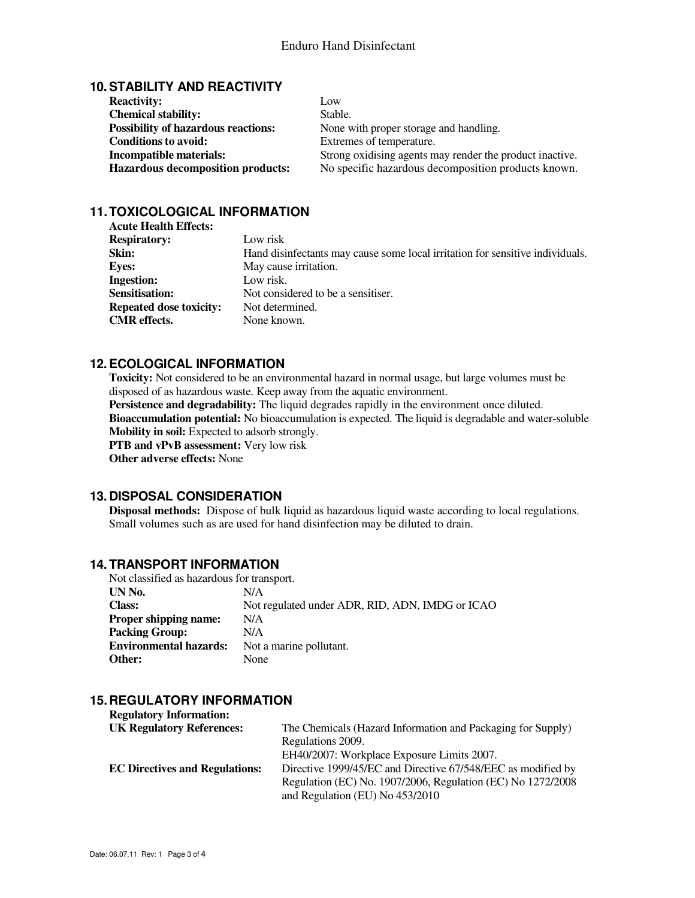## **10. STABILITY AND REACTIVITY**

| <b>Reactivity:</b>                         | Low                                                      |
|--------------------------------------------|----------------------------------------------------------|
| <b>Chemical stability:</b>                 | Stable.                                                  |
| <b>Possibility of hazardous reactions:</b> | None with proper storage and handling.                   |
| <b>Conditions to avoid:</b>                | Extremes of temperature.                                 |
| Incompatible materials:                    | Strong oxidising agents may render the product inactive. |
| <b>Hazardous decomposition products:</b>   | No specific hazardous decomposition products known.      |

## **11. TOXICOLOGICAL INFORMATION**

| <b>Acute Health Effects:</b>   |                                                                               |
|--------------------------------|-------------------------------------------------------------------------------|
| <b>Respiratory:</b>            | Low risk                                                                      |
| Skin:                          | Hand disinfectants may cause some local irritation for sensitive individuals. |
| <b>Eves:</b>                   | May cause irritation.                                                         |
| <b>Ingestion:</b>              | Low risk.                                                                     |
| <b>Sensitisation:</b>          | Not considered to be a sensitiser.                                            |
| <b>Repeated dose toxicity:</b> | Not determined.                                                               |
| <b>CMR</b> effects.            | None known.                                                                   |

## **12. ECOLOGICAL INFORMATION**

**Toxicity:** Not considered to be an environmental hazard in normal usage, but large volumes must be disposed of as hazardous waste. Keep away from the aquatic environment.

Persistence and degradability: The liquid degrades rapidly in the environment once diluted.

**Bioaccumulation potential:** No bioaccumulation is expected. The liquid is degradable and water-soluble **Mobility in soil:** Expected to adsorb strongly.

**PTB and vPvB assessment:** Very low risk

 **Other adverse effects:** None

#### **13. DISPOSAL CONSIDERATION**

**Disposal methods:** Dispose of bulk liquid as hazardous liquid waste according to local regulations. Small volumes such as are used for hand disinfection may be diluted to drain.

## **14. TRANSPORT INFORMATION**

| Not classified as hazardous for transport. |                                                 |  |
|--------------------------------------------|-------------------------------------------------|--|
| UN No.                                     | N/A                                             |  |
| <b>Class:</b>                              | Not regulated under ADR, RID, ADN, IMDG or ICAO |  |
| <b>Proper shipping name:</b>               | N/A                                             |  |
| <b>Packing Group:</b>                      | N/A                                             |  |
| <b>Environmental hazards:</b>              | Not a marine pollutant.                         |  |
| Other:                                     | None                                            |  |

## **15. REGULATORY INFORMATION**

| <b>Regulatory Information:</b>        |                                                              |
|---------------------------------------|--------------------------------------------------------------|
| <b>UK Regulatory References:</b>      | The Chemicals (Hazard Information and Packaging for Supply)  |
|                                       | Regulations 2009.                                            |
|                                       | EH40/2007: Workplace Exposure Limits 2007.                   |
| <b>EC Directives and Regulations:</b> | Directive 1999/45/EC and Directive 67/548/EEC as modified by |
|                                       | Regulation (EC) No. 1907/2006, Regulation (EC) No 1272/2008  |
|                                       | and Regulation (EU) No 453/2010                              |